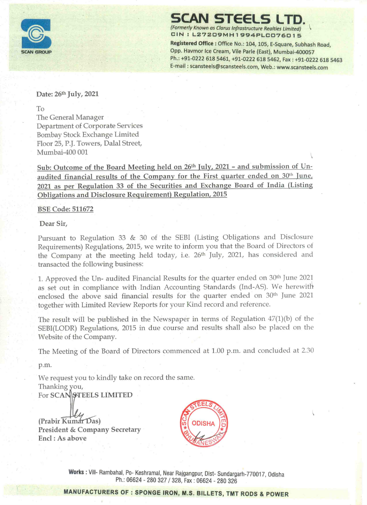

'SCAN STEELS LTD. (Formerly Known as Clarus Infrastructure Realties Limited)

CIN : L27209MH1994PLC076015

Registered Office : Office No.: 104, 105, E-Square, Subhash Road, Opp. Havmor Ice Cream, Vile Parle (East), Mumbai-400057 Ph.: +91-0222 618 5461, +91-0222 618 5462, Fax : +91-0222 618 5463 E-mail : scansteels@scansteels.com, Web.: www.scansteels.com

Date: 26th July, 2021

To

The General Manager Department of Corporate Services Bombay Stock Exchange Limited Floor 25, P.J. Towers, Dalal Street, Mumbai-400 001 \ FROUP<br>
THOUP<br>
RECORD<br>
RECORDING THE CENTRAL CONTROLLER<br>
Department of Corporate Services<br>
Bombay Stock Exchange Limited<br>
Floor 25, P.J. Towers, Dalal Street,<br>
Mumbai-400 001<br>
Sub: Outcome of the Board Meeting held qudited **EROUP**<br> **EROUP**<br> **CALC:** 26<sup>th</sup> July, 2021<br>
To<br>
The General Manager<br>
Department of Corporate Servi<br>
Bombay Stock Exchange Limit<br>
Floor 25, P.J. Towers, Dalal Stre<br>
Mumbai-400 001<br> **Sub: Outcome of the Board Maudited finan** 

Sub: Outcome of the Board Meeting held on 26<sup>th</sup> July, 2021 - and submission of Unaudited financial results of the Company for the First quarter ended on 30<sup>th</sup> June, 2021 as per Regulation 33 of the Securities and Exchange Board of India (Listing Obligations and Disclosure Requirement) Regulation, 2015

BSE Code: 511672

Dear Sir,

Pursuant to Regulation 33 & 30 of the SEBI (Listing Obligations and Disclosure Requirements) Regulations, 2015, we write to inform you that the Board of Directors of the Company at the meeting held today, i.e. 26<sup>th</sup> July, 2021, has considered and transacted the following business:

1. Approved the Un- audited Financial Results for the quarter ended on 30<sup>th</sup> June 2021 as set out in compliance with Indian Accounting Standards (Ind-AS). We herewith enclosed the above said financial results for the quarter ended on 30<sup>th</sup> June 2021 together with Limited Review Reports for your Kind record and reference.

The result will be published in the Newspaper in terms of Regulation 47(1)(b) of the SEBI(LODR) Regulations, 2015 in due course and results shall also be placed on the Website of the Company.

The Meeting of the Board of Directors commenced at 1.00 p.m. and concluded at 2.30

p.m.

We request you to kindly take on record the same. Thanking you, For SCAN STEELS LIMITED

(Prabir Kum President & Company Secretary Encl : As above



ajgangpur,<br>3, Fax : 066<br><mark>M.S. BI</mark>I Works : Vill- Rambahal, Po- Keshramal, Near Rajgangpur, Dist- Sundargarh-770017, Odisha Ph.: 06624 - 280 327 / 328, Fax : 06624 - 280 326

MANUFACTURERS OF : SPONGE IRON, M.S. BILLETS, TMT RODS & POWER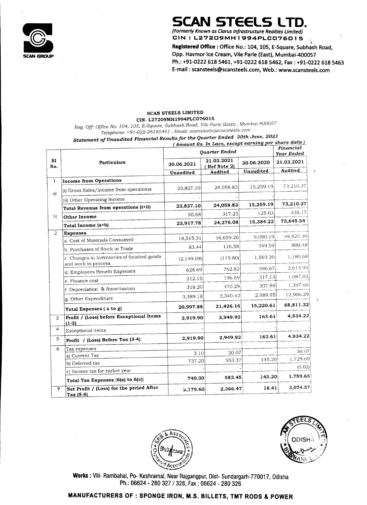SCAN GROUP Opp. Havmor Ice Cream, Vile Parle (East), Mumbai-400057

Ph.: +91-0222 618 5461, +91-0222 618 5462, Fax : +91-0222 618 5463

Statement of Unaudited Financial Results for the Quarter Ended 30th June, <sup>2021</sup> UP<br>
UP<br>
UP<br>
CIN-L27209MH<br>
CIN-L27209MH<br>
CIN-L27209MH<br>
CIN-L27209MH<br>
Telephone: +91-022-26185461 ; l<br>
Statement of Unaudited Financial Result. cs for the Eudi contension.<br>(Amount Rs. In Lacs, <u>except earning per share data )</u>



E-mail : scansteels@scansteels.com, Web.: www.scansteels.com

# CIN- L27209MH1994PLC076015

# SCAN STEELS LTD.<br>(Formerly Known as Clarus Infrastructure Realties Limited)

Registered Office : Office No.: 104, 105, E-Square, Subhash Road,

# Telephone: +91-022-261 85461 ; Email: scansteels@scansteels.com

|                                                                                         | SCAN STEELS LTD.<br>(Formerly Known as Clarus Infrastructure Realties Limited) |                                                                                           |                                                     |                                  |  |  |
|-----------------------------------------------------------------------------------------|--------------------------------------------------------------------------------|-------------------------------------------------------------------------------------------|-----------------------------------------------------|----------------------------------|--|--|
|                                                                                         |                                                                                |                                                                                           |                                                     |                                  |  |  |
|                                                                                         |                                                                                | CIN : L27209MH1994PLC076015<br>Registered Office: Office No.: 104, 105, E-Square, Subhash |                                                     |                                  |  |  |
|                                                                                         | Opp. Havmor Ice Cream, Vile Parle (East), Mumbai-400057                        |                                                                                           |                                                     |                                  |  |  |
|                                                                                         | Ph.: +91-0222 618 5461, +91-0222 618 5462, Fax: +91-0222                       |                                                                                           |                                                     |                                  |  |  |
|                                                                                         | E-mail: scansteels@scansteels.com, Web.: www.scansteels.                       |                                                                                           |                                                     |                                  |  |  |
|                                                                                         |                                                                                |                                                                                           |                                                     |                                  |  |  |
|                                                                                         |                                                                                |                                                                                           |                                                     |                                  |  |  |
|                                                                                         |                                                                                |                                                                                           |                                                     |                                  |  |  |
|                                                                                         | SCAN STEELS LIMITED<br>CIN-L27209MH1994PLC076015                               |                                                                                           |                                                     |                                  |  |  |
| Reg. Off: Office No. 104, 105, E-Square, Subhash Road, Vile Parle (East), Mumbai-400057 |                                                                                |                                                                                           |                                                     |                                  |  |  |
| Telephone: +91-022-26185461 ; Email: scansteels@scansteels.com                          |                                                                                |                                                                                           |                                                     |                                  |  |  |
| Statement of Unaudited Financial Results for the Quarter Ended 30th June, 2021          |                                                                                |                                                                                           | (Amount Rs. In Lacs, except earning per share data) | Financial                        |  |  |
|                                                                                         |                                                                                | Quarter Ended                                                                             |                                                     | Year Ended                       |  |  |
| <b>Particulars</b>                                                                      | 30.06.2021                                                                     | 31.03.2021<br>Ref Note 2)                                                                 | 30.06.2020                                          | 31.03.2021                       |  |  |
|                                                                                         | Unaudited                                                                      | Audited                                                                                   | Unaudited                                           | Audited                          |  |  |
| Income from Operations                                                                  |                                                                                |                                                                                           | 15,259.19                                           | 73,210.37                        |  |  |
| (i) Gross Sales/Income from operations                                                  | 23,827.10                                                                      | 24,058.83                                                                                 |                                                     |                                  |  |  |
| (ii) Other Operating Income                                                             | 23,827.10                                                                      | 24,058.83                                                                                 | 15,259.19                                           | 73,210.37                        |  |  |
| Total Revenue from operations (i+ii)                                                    | 90.68                                                                          | 317.25                                                                                    | 125.03                                              | 435.17                           |  |  |
| Other Income                                                                            | 23,917.78                                                                      | 24,376.08                                                                                 | 15,384.22                                           | 73,645.54                        |  |  |
| Total Income (a+b)                                                                      |                                                                                |                                                                                           |                                                     |                                  |  |  |
|                                                                                         |                                                                                |                                                                                           |                                                     |                                  |  |  |
| <b>Expenses</b><br>a. Cost of Materials Consumed                                        | 18,515.31                                                                      | 16,659.26                                                                                 | 9,090.19                                            | 48,825.30                        |  |  |
| b. Purchases of Stock in Trade                                                          | 83.44                                                                          | 116.58                                                                                    | 349.59                                              |                                  |  |  |
| c. Changes in Inventories of finished goods                                             | (2,149.09)                                                                     | (119.80)                                                                                  | 1,569.20                                            | 800.48<br>1,180.68               |  |  |
| and work in process.                                                                    | 628.69                                                                         | 762.82                                                                                    | 596.67                                              |                                  |  |  |
| d. Employees Benefit Expenses<br>e. Finance cost                                        | 212.15                                                                         | 196.59                                                                                    | 317.13                                              |                                  |  |  |
| If. Depreciation & Amortisation                                                         | 318.20                                                                         | 470.29                                                                                    | 307.88                                              | 2,613.95<br>1,087.03<br>1,397.60 |  |  |
| g. Other Expenditure                                                                    | 3,389.18                                                                       | 3,340.42                                                                                  | 2,989.95                                            |                                  |  |  |
| Total Expenses (a to g)                                                                 | 20,997.88                                                                      | 21,426.16                                                                                 | 15,220.61                                           | 12,906.291<br>68,811.32          |  |  |
| Profit / (Loss) before Exceptional Items<br>$(1-2)$                                     | 2,919.90                                                                       | 2,949.92                                                                                  | 163.61                                              |                                  |  |  |
| Exceptional items                                                                       |                                                                                |                                                                                           |                                                     | 4,834.22                         |  |  |
| $ Profit / (Loss) Before Tax (3-4)$                                                     | 2,919.90                                                                       | 2,949.92                                                                                  | 163.61                                              | 4,834.22                         |  |  |
| Tax expenses                                                                            | 3.10                                                                           | 30.07                                                                                     |                                                     | 30.07                            |  |  |
| (a) Current Tax<br>(b) Deferred tax                                                     | 737.20                                                                         | 553.37                                                                                    | 145.20                                              | 1,729.60                         |  |  |
| c) Income tax for earlier year                                                          |                                                                                |                                                                                           |                                                     | (0.02)                           |  |  |
| Total Tax Expenses {6(a) to 6(c)}<br>Net Profit / (Loss) for the period After           | 740.30                                                                         | 583.45                                                                                    | 145.20                                              | 1,759.65<br>3,074.57             |  |  |

| $\blacksquare$ Net Profit / (Loss) for the period Alter | 2,179.60 | 2,366.47 | 18.41 | 3,014.51 |
|---------------------------------------------------------|----------|----------|-------|----------|
| 'Tax (5-6)                                              |          |          |       |          |





Works: Vill- Rambahal, Po- Keshramal, Near Rajgangpur, Dist- Sundargarh-770017, Odis Ph.: 06624 - 280 327 / 328, Fax : 06624 - 280 326

# MANUFACTURERS OF : SPONGE IRON, M.S. BILLETS, TMT RODS & POWER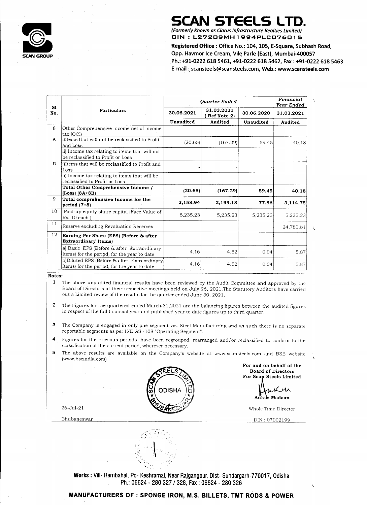# SCAN STEELS LTD.

# 

Registered Office : Office No.: 104, 105, E-Square, Subhash Road, Opp. Havmor Ice Cream, Vile Parle (East), Mumbai-400057 **SCAN STRUM**<br>
(Formerly Known as Clarus In<br> **CIN : L27209MH**<br>
Registered Office : Office |<br>
Opp. Havmor Ice Cream, V<br>
Ph.: +91-0222 618 5461, +<br>
E-mail : scansteels@scans<br>
Quarter Ended **SCAN STREET**<br>
(Formerly Known as Clarus In<br>
CIN : L272D9MH<br>
Registered Office : Office |<br>
Opp. Havmor Ice Cream, V<br>
Ph.: +91-0222 618 5461, +<br>
E-mail : scansteels@scans<br>
Quarter Ended<br>
30.06.2021 | 31.03.2021<br>
(Ref Note Ph.: +91-0222 618 5461, +91-0222 618 5462, Fax : +91-0222 618 5463 E-mail : scansteels@scansteels.com, Web.: www.scansteels.com



# SCAN GROUP

|                                               |                                                                                             |                                                                                                                       | <b>SCAN STEELS LTD.</b>                                                                  |            |                                            |
|-----------------------------------------------|---------------------------------------------------------------------------------------------|-----------------------------------------------------------------------------------------------------------------------|------------------------------------------------------------------------------------------|------------|--------------------------------------------|
|                                               |                                                                                             |                                                                                                                       |                                                                                          |            |                                            |
|                                               |                                                                                             |                                                                                                                       | (Formerly Known as Clarus Infrastructure Realties Limited)<br>CIN: L27209MH1994PLC076015 |            |                                            |
|                                               |                                                                                             |                                                                                                                       |                                                                                          |            |                                            |
|                                               |                                                                                             | Registered Office: Office No.: 104, 105, E-Square, Subhash<br>Opp. Havmor Ice Cream, Vile Parle (East), Mumbai-400057 |                                                                                          |            |                                            |
|                                               |                                                                                             |                                                                                                                       | Ph.: +91-0222 618 5461, +91-0222 618 5462, Fax : +91-022                                 |            |                                            |
|                                               |                                                                                             |                                                                                                                       | E-mail: scansteels@scansteels.com, Web.: www.scansteel                                   |            |                                            |
|                                               |                                                                                             |                                                                                                                       |                                                                                          |            |                                            |
|                                               |                                                                                             |                                                                                                                       |                                                                                          |            |                                            |
|                                               |                                                                                             |                                                                                                                       |                                                                                          |            |                                            |
| <b>SI</b>                                     |                                                                                             |                                                                                                                       | Quarter Ended                                                                            |            | Financial<br>Year Ended                    |
| No.                                           | <b>Particulars</b>                                                                          | 30.06.2021                                                                                                            | 31.03.2021<br>Ref Note 2)                                                                | 30.06.2020 | 31.03.2021                                 |
|                                               |                                                                                             | <b>Unaudited</b>                                                                                                      | Audited                                                                                  | Unaudited  | Audited                                    |
|                                               | Other Comprehensive income net of income                                                    |                                                                                                                       |                                                                                          |            |                                            |
|                                               |                                                                                             |                                                                                                                       |                                                                                          |            |                                            |
|                                               | ltax (OCI)<br>i) Items that will not be reclassified to Profit                              |                                                                                                                       |                                                                                          |            |                                            |
|                                               | <u>and Loss</u>                                                                             | (20.65)                                                                                                               | (167.29)                                                                                 | 59.45      |                                            |
|                                               | ii) Income tax relating to items that will not<br>be reclassified to Profit or Loss         |                                                                                                                       |                                                                                          |            |                                            |
|                                               | i)Items that will be reclassified to Profit and                                             |                                                                                                                       |                                                                                          |            | 40.18                                      |
|                                               | Loss<br>(ii) Income tax relating to items that will be                                      |                                                                                                                       |                                                                                          |            |                                            |
|                                               | reclassified to Profit or Loss                                                              |                                                                                                                       |                                                                                          |            |                                            |
|                                               | Total Other Comprehensive Income /<br>$(Loss)$ (8A+8B)                                      | (20.65)                                                                                                               | (167.29)                                                                                 | 59.45      |                                            |
|                                               | Total comprehensive Income for the                                                          | 2,158.94                                                                                                              | 2,199.18                                                                                 | 77.86      |                                            |
|                                               | period $(7+8)$<br>Paid-up equity share capital (Face Value of                               |                                                                                                                       |                                                                                          |            |                                            |
|                                               | Rs. 10 each)                                                                                | 5,235.23                                                                                                              | 5,235.23                                                                                 | 5,235.23   |                                            |
|                                               | Reserve excluding Revaluation Reserves                                                      |                                                                                                                       |                                                                                          |            |                                            |
|                                               | Earning Per Share (EPS) (Before & after                                                     |                                                                                                                       |                                                                                          |            |                                            |
|                                               | <b>Extraordinary Items</b> )                                                                |                                                                                                                       |                                                                                          |            | 40.18<br>3,114.75<br>5,235.23<br>24,780.81 |
|                                               | a) Basic EPS (Before & after Extraordinary<br>Items) for the period, for the year to date   | 4.16                                                                                                                  | 4.52                                                                                     | 0.04       | 5.87                                       |
| 8<br>$\mathbf{A}$<br>B<br>9<br>10<br>11<br>12 | b)Diluted EPS (Before & after Extraordinary]<br>Items) for the period, for the year to date | 4.16                                                                                                                  | 4.52                                                                                     | 0.04       | 5.87                                       |

- 1 The above unaudited financial results have been reviewed by the Audit Committee and approved by the Board of Directors at their respective meetings held on July 26, 2021.The Statutory Auditors have carried out a Limited review of the results for the quarter ended June 30, 2021.
- 2 The Figures for the quartered ended March 31,2021 are the balancing figures between the audited figures in respect of the full financial year and published year to date figures up to third quarter.
- 3 The Company is engaged in only one segment viz. Steel Manufacturing and as such there is no separate reportable segments as per IND AS -108 "Operating Segment".
- 4 Figures for the previous periods have been regrouped, rearranged and/or reclassified to confirm to the classification of the current period, wherever necessary.
- 5 The above results are available on the Company's website at www.scansteels.com and BSE website (www. bseindia.com)

Shramal, Near Rajgangpur, Dist-Sundargarh-770017, C<br>|- 280 327 / 328, Fax : 06624 - 280 326<br>| ONGE IRON, M.S. BILLETS, TMT RODS & P Works : Vill- Rambahal, Po- Keshramal, Near Rajgangpur, Dist- Sundargarh-770017, Odisha Ph.: 06624 - 280 327 / 328, Fax : 06624 - 280 326

# $\frac{10024}{25}$ MANUFACTURERS OF : SPONGE IRON, M.S. BILLETS, TMT RODS & POWER

| b)Diluted EPS (Before & after Extraordinary)   |     |  |  |
|------------------------------------------------|-----|--|--|
| I (Items) for the period, for the year to date | .16 |  |  |
|                                                |     |  |  |

# Notes:

For and on behalf of the